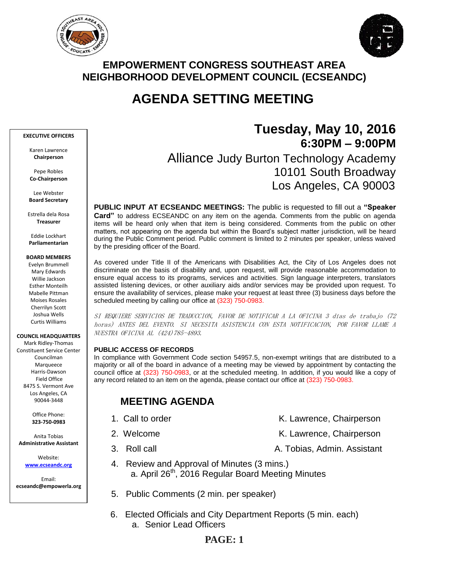



## **EMPOWERMENT CONGRESS SOUTHEAST AREA NEIGHBORHOOD DEVELOPMENT COUNCIL (ECSEANDC)**

# **AGENDA SETTING MEETING**

#### **EXECUTIVE OFFICERS**

Karen Lawrence **Chairperson**

Pepe Robles **Co-Chairperson**

Lee Webster **Board Secretary**

Estrella dela Rosa **Treasurer**

Eddie Lockhart **Parliamentarian**

#### **BOARD MEMBERS**

Evelyn Brummell Mary Edwards Willie Jackson Esther Monteilh Mabelle Pittman Moises Rosales Cherrilyn Scott Joshua Wells Curtis Williams

**COUNCIL HEADQUARTERS**

Mark Ridley-Thomas Constituent Service Center Councilman Marqueece Harris-Dawson Field Office 8475 S. Vermont Ave Los Angeles, CA 90044-3448

> Office Phone: **323-750-0983**

Anita Tobias **Administrative Assistant**

> Website: **[www.ecseandc.org](http://www.ecseandc.org/)**

Email: **ecseandc@empowerla.org**

# **Tuesday, May 10, 2016 6:30PM – 9:00PM** Alliance Judy Burton Technology Academy 10101 South Broadway Los Angeles, CA 90003

**PUBLIC INPUT AT ECSEANDC MEETINGS:** The public is requested to fill out a **"Speaker Card"** to address ECSEANDC on any item on the agenda. Comments from the public on agenda items will be heard only when that item is being considered. Comments from the public on other matters, not appearing on the agenda but within the Board's subject matter jurisdiction, will be heard during the Public Comment period. Public comment is limited to 2 minutes per speaker, unless waived by the presiding officer of the Board.

As covered under Title II of the Americans with Disabilities Act, the City of Los Angeles does not discriminate on the basis of disability and, upon request, will provide reasonable accommodation to ensure equal access to its programs, services and activities. Sign language interpreters, translators assisted listening devices, or other auxiliary aids and/or services may be provided upon request. To ensure the availability of services, please make your request at least three (3) business days before the scheduled meeting by calling our office at (323) 750-0983.

SI REQUIERE SERVICIOS DE TRADUCCION, FAVOR DE NOTIFICAR A LA OFICINA 3 días de trabajo (72 horas) ANTES DEL EVENTO. SI NECESITA ASISTENCIA CON ESTA NOTIFICACION, POR FAVOR LLAME A NUESTRA OFICINA AL (424)785-4893.

#### **PUBLIC ACCESS OF RECORDS**

In compliance with Government Code section 54957.5, non-exempt writings that are distributed to a majority or all of the board in advance of a meeting may be viewed by appointment by contacting the council office at (323) 750-0983, or at the scheduled meeting. In addition, if you would like a copy of any record related to an item on the agenda, please contact our office at (323) 750-0983.

## **MEETING AGENDA**

- 1. Call to order The Call to order The Chairperson K. Lawrence, Chairperson
- 2. Welcome **K. Lawrence, Chairperson**
- 3. Roll call **A. Tobias, Admin. Assistant**
- 4. Review and Approval of Minutes (3 mins.) a. April 26<sup>th</sup>, 2016 Regular Board Meeting Minutes
	- 5. Public Comments (2 min. per speaker)
	- 6. Elected Officials and City Department Reports (5 min. each) a. Senior Lead Officers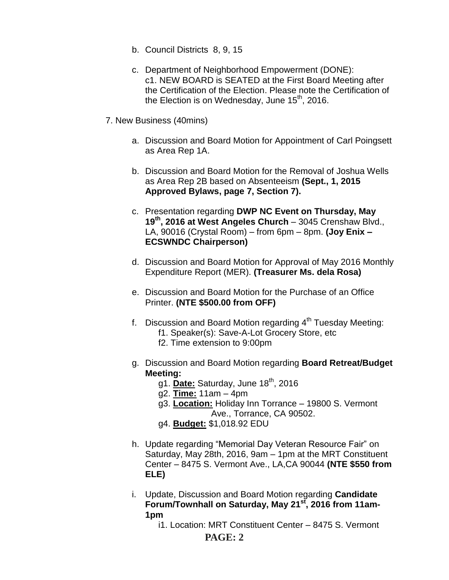- b. Council Districts 8, 9, 15
- c. Department of Neighborhood Empowerment (DONE): c1. NEW BOARD is SEATED at the First Board Meeting after the Certification of the Election. Please note the Certification of the Election is on Wednesday, June 15<sup>th</sup>, 2016.
- 7. New Business (40mins)
	- a. Discussion and Board Motion for Appointment of Carl Poingsett as Area Rep 1A.
	- b. Discussion and Board Motion for the Removal of Joshua Wells as Area Rep 2B based on Absenteeism **(Sept., 1, 2015 Approved Bylaws, page 7, Section 7).**
	- c. Presentation regarding **DWP NC Event on Thursday, May 19th , 2016 at West Angeles Church** – 3045 Crenshaw Blvd., LA, 90016 (Crystal Room) – from 6pm – 8pm. **(Joy Enix – ECSWNDC Chairperson)**
	- d. Discussion and Board Motion for Approval of May 2016 Monthly Expenditure Report (MER). **(Treasurer Ms. dela Rosa)**
	- e. Discussion and Board Motion for the Purchase of an Office Printer. **(NTE \$500.00 from OFF)**
	- f. Discussion and Board Motion regarding  $4<sup>th</sup>$  Tuesday Meeting: f1. Speaker(s): Save-A-Lot Grocery Store, etc
		- f2. Time extension to 9:00pm
	- g. Discussion and Board Motion regarding **Board Retreat/Budget Meeting:**
		- g1. **Date:** Saturday, June 18th , 2016
		- g2. **Time:** 11am 4pm
		- g3. **Location:** Holiday Inn Torrance 19800 S. Vermont Ave., Torrance, CA 90502.
		- g4. **Budget:** \$1,018.92 EDU
	- h. Update regarding "Memorial Day Veteran Resource Fair" on Saturday, May 28th, 2016, 9am – 1pm at the MRT Constituent Center – 8475 S. Vermont Ave., LA,CA 90044 **(NTE \$550 from ELE)**
	- i. Update, Discussion and Board Motion regarding **Candidate Forum/Townhall on Saturday, May 21st , 2016 from 11am-1pm**
		- i1. Location: MRT Constituent Center 8475 S. Vermont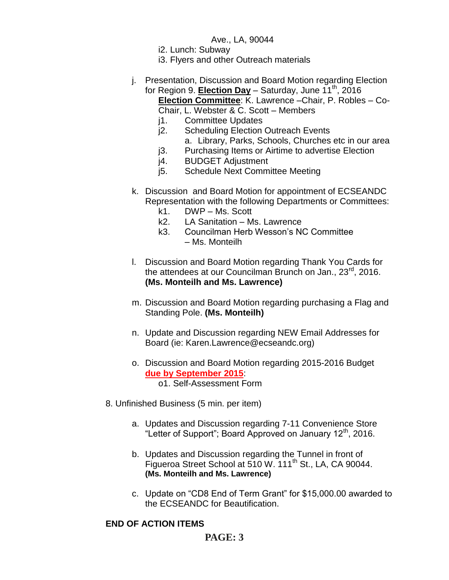Ave., LA, 90044

- i2. Lunch: Subway
- i3. Flyers and other Outreach materials
- j. Presentation, Discussion and Board Motion regarding Election for Region 9. **Election Day** – Saturday, June 11th, 2016

**Election Committee**: K. Lawrence –Chair, P. Robles – Co-Chair, L. Webster & C. Scott – Members

- j1. Committee Updates
- j2. Scheduling Election Outreach Events
	- a. Library, Parks, Schools, Churches etc in our area
- j3. Purchasing Items or Airtime to advertise Election
- j4. BUDGET Adjustment
- j5. Schedule Next Committee Meeting
- k. Discussion and Board Motion for appointment of ECSEANDC Representation with the following Departments or Committees:
	- k1. DWP Ms. Scott
	- k2. LA Sanitation Ms. Lawrence
	- k3. Councilman Herb Wesson's NC Committee – Ms. Monteilh
- l. Discussion and Board Motion regarding Thank You Cards for the attendees at our Councilman Brunch on Jan., 23<sup>rd</sup>, 2016. **(Ms. Monteilh and Ms. Lawrence)**
- m. Discussion and Board Motion regarding purchasing a Flag and Standing Pole. **(Ms. Monteilh)**
- n. Update and Discussion regarding NEW Email Addresses for Board (ie: Karen.Lawrence@ecseandc.org)
- o. Discussion and Board Motion regarding 2015-2016 Budget **due by September 2015**: o1. Self-Assessment Form
- 8. Unfinished Business (5 min. per item)
	- a. Updates and Discussion regarding 7-11 Convenience Store "Letter of Support"; Board Approved on January 12<sup>th</sup>, 2016.
	- b. Updates and Discussion regarding the Tunnel in front of Figueroa Street School at 510 W. 111<sup>th</sup> St., LA, CA 90044. **(Ms. Monteilh and Ms. Lawrence)**
	- c. Update on "CD8 End of Term Grant" for \$15,000.00 awarded to the ECSEANDC for Beautification.

## **END OF ACTION ITEMS**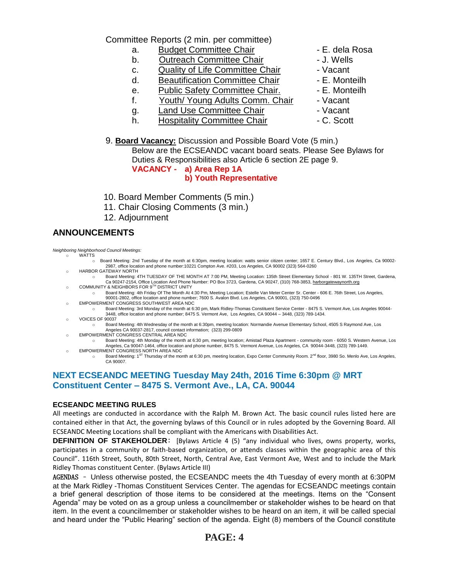Committee Reports (2 min. per committee)

- a. Budget Committee Chair  **E. dela Rosa**
- b. Outreach Committee Chair **Day 1. Wells**
- c. Quality of Life Committee Chair Vacant
- d. Beautification Committee Chair Fame E. Monteilh
- e. Public Safety Committee Chair. E. Monteilh
- f. Youth/ Young Adults Comm. Chair Vacant
- g. Land Use Committee Chair **1988** Vacant
- h. Hospitality Committee Chair  **C. Scott**
- 
- 
- 
- 
- 
- 
- -
- 9. **Board Vacancy:** Discussion and Possible Board Vote (5 min.)

Below are the ECSEANDC vacant board seats. Please See Bylaws for Duties & Responsibilities also Article 6 section 2E page 9.

## **VACANCY - a) Area Rep 1A**

### **b) Youth Representative**

- 10. Board Member Comments (5 min.)
- 11. Chair Closing Comments (3 min.)
- 12. Adjournment

## **ANNOUNCEMENTS**

*Neighboring Neighborhood Council Meetings:*

- o WATTS
	- o Board Meeting: 2nd Tuesday of the month at 6:30pm, meeting location: watts senior citizen center; 1657 E. Century Blvd., Los Angeles, Ca 90002- 2987, office location and phone number:10221 Compton Ave. #203, Los Angeles, CA 90002 (323) 564-0260
- o HARBOR GATEWAY NORTH
- o Board Meeting: 4TH TUESDAY OF THE MONTH AT 7:00 PM, Meeting Location: 135th Street Elementary School 801 W. 135TH Street, Gardena, Ca 90247-2154, Office Location And Phone Number: PO Box 3723, Gardena, CA 90247, (310) 768-3853, <u>harborgatewaynorth.org</u><br>COMMUNITY & NEIGHBORS FOR 9<sup>TH</sup> DISTRICT UNITY
- 
- o Board Meeting: 4th Friday Of The Month At 4:30 Pm, Meeting Location; Estelle Van Meter Center Sr. Center 606 E. 76th Street, Los Angeles, 90001-2802, office location and phone number; 7600 S. Avalon Blvd. Los Angeles, CA 90001, (323) 750-0496 o EMPOWERMENT CONGRESS SOUTHWEST AREA NDC
- o Board Meeting: 3rd Monday of the month at 6:30 pm, Mark Ridley-Thomas Constituent Service Center 8475 S. Vermont Ave, Los Angeles 90044- 3448, office location and phone number; 8475 S. Vermont Ave, Los Angeles, CA 90044 – 3448, (323) 789-1434.
- o VOICES OF 90037
	- o Board Meeting: 4th Wednesday of the month at 6:30pm, meeting location: Normandie Avenue Elementary School, 4505 S Raymond Ave, Los Angeles CA 90037-2817, council contact information; (323) 299-0809
- o EMPOWERMENT CONGRESS CENTRAL AREA NDC
- o Board Meeting: 4th Monday of the month at 6:30 pm, meeting location; Amistad Plaza Apartment community room 6050 S. Western Avenue, Los Angeles, Ca 90047-1464, office location and phone number, 8475 S. Vermont Avenue, Los Angeles, CA 90044-3448, (323) 789-1449. o EMPOWERMENT CONGRESS NORTH AREA NDC
	- $\circ$  Board Meeting: 1<sup>ST</sup> Thursday of the month at 6:30 pm, meeting location, Expo Center Community Room. 2<sup>nd</sup> floor, 3980 So. Menlo Ave, Los Angeles, CA 90007.

## **NEXT ECSEANDC MEETING Tuesday May 24th, 2016 Time 6:30pm @ MRT Constituent Center – 8475 S. Vermont Ave., LA, CA. 90044**

### **ECSEANDC MEETING RULES**

All meetings are conducted in accordance with the Ralph M. Brown Act. The basic council rules listed here are contained either in that Act, the governing bylaws of this Council or in rules adopted by the Governing Board. All ECSEANDC Meeting Locations shall be compliant with the Americans with Disabilities Act.

**DEFINITION OF STAKEHOLDER**: [Bylaws Article 4 (5) "any individual who lives, owns property, works, participates in a community or faith-based organization, or attends classes within the geographic area of this Council". 116th Street, South, 80th Street, North, Central Ave, East Vermont Ave, West and to include the Mark Ridley Thomas constituent Center. (Bylaws Article III)

AGENDAS – Unless otherwise posted, the ECSEANDC meets the 4th Tuesday of every month at 6:30PM at the Mark Ridley -Thomas Constituent Services Center. The agendas for ECSEANDC meetings contain a brief general description of those items to be considered at the meetings. Items on the "Consent Agenda" may be voted on as a group unless a councilmember or stakeholder wishes to be heard on that item. In the event a councilmember or stakeholder wishes to be heard on an item, it will be called special and heard under the "Public Hearing" section of the agenda. Eight (8) members of the Council constitute